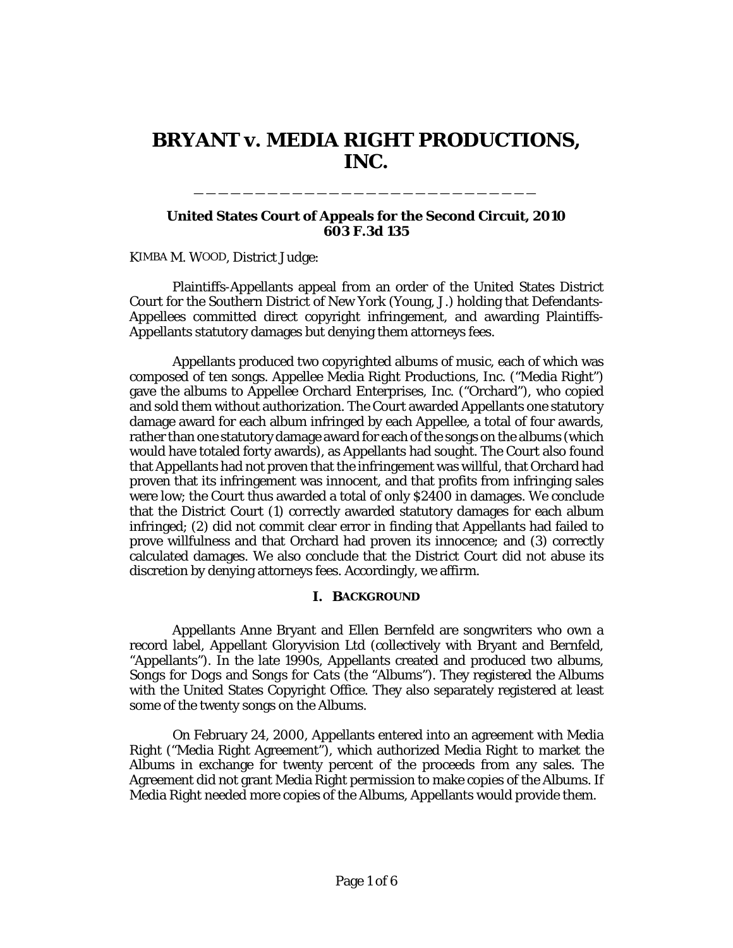# **BRYANT v. MEDIA RIGHT PRODUCTIONS, INC.**

\_\_\_\_\_\_\_\_\_\_\_\_\_\_\_\_\_\_\_\_\_\_\_\_\_\_\_\_

# **United States Court of Appeals for the Second Circuit, 2010 603 F.3d 135**

KIMBA M. WOOD, District Judge:

Plaintiffs-Appellants appeal from an order of the United States District Court for the Southern District of New York (Young, J.) holding that Defendants-Appellees committed direct copyright infringement, and awarding Plaintiffs-Appellants statutory damages but denying them attorneys fees.

Appellants produced two copyrighted albums of music, each of which was composed of ten songs. Appellee Media Right Productions, Inc. ("Media Right") gave the albums to Appellee Orchard Enterprises, Inc. ("Orchard"), who copied and sold them without authorization. The Court awarded Appellants one statutory damage award for each album infringed by each Appellee, a total of four awards, rather than one statutory damage award for each of the songs on the albums (which would have totaled forty awards), as Appellants had sought. The Court also found that Appellants had not proven that the infringement was willful, that Orchard had proven that its infringement was innocent, and that profits from infringing sales were low; the Court thus awarded a total of only \$2400 in damages. We conclude that the District Court (1) correctly awarded statutory damages for each album infringed; (2) did not commit clear error in finding that Appellants had failed to prove willfulness and that Orchard had proven its innocence; and (3) correctly calculated damages. We also conclude that the District Court did not abuse its discretion by denying attorneys fees. Accordingly, we affirm.

### **I. BACKGROUND**

Appellants Anne Bryant and Ellen Bernfeld are songwriters who own a record label, Appellant Gloryvision Ltd (collectively with Bryant and Bernfeld, "Appellants"). In the late 1990s, Appellants created and produced two albums, *Songs for Dogs* and *Songs for Cats* (the "Albums"). They registered the Albums with the United States Copyright Office. They also separately registered at least some of the twenty songs on the Albums.

On February 24, 2000, Appellants entered into an agreement with Media Right ("Media Right Agreement"), which authorized Media Right to market the Albums in exchange for twenty percent of the proceeds from any sales. The Agreement did not grant Media Right permission to make copies of the Albums. If Media Right needed more copies of the Albums, Appellants would provide them.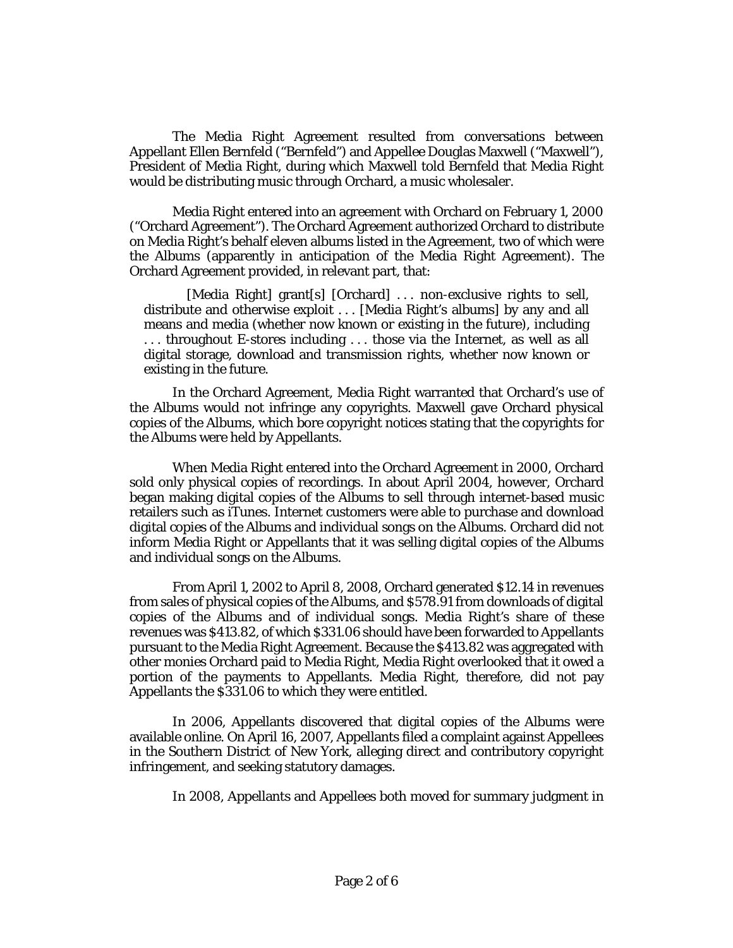The Media Right Agreement resulted from conversations between Appellant Ellen Bernfeld ("Bernfeld") and Appellee Douglas Maxwell ("Maxwell"), President of Media Right, during which Maxwell told Bernfeld that Media Right would be distributing music through Orchard, a music wholesaler.

Media Right entered into an agreement with Orchard on February 1, 2000 ("Orchard Agreement"). The Orchard Agreement authorized Orchard to distribute on Media Right's behalf eleven albums listed in the Agreement, two of which were the Albums (apparently in anticipation of the Media Right Agreement). The Orchard Agreement provided, in relevant part, that:

[Media Right] grant[s] [Orchard] ... non-exclusive rights to sell, distribute and otherwise exploit . . . [Media Right's albums] by any and all means and media (whether now known or existing in the future), including . . . throughout E-stores including . . . those via the Internet, as well as all digital storage, download and transmission rights, whether now known or existing in the future.

In the Orchard Agreement, Media Right warranted that Orchard's use of the Albums would not infringe any copyrights. Maxwell gave Orchard physical copies of the Albums, which bore copyright notices stating that the copyrights for the Albums were held by Appellants.

When Media Right entered into the Orchard Agreement in 2000, Orchard sold only physical copies of recordings. In about April 2004, however, Orchard began making digital copies of the Albums to sell through internet-based music retailers such as iTunes. Internet customers were able to purchase and download digital copies of the Albums and individual songs on the Albums. Orchard did not inform Media Right or Appellants that it was selling digital copies of the Albums and individual songs on the Albums.

From April 1, 2002 to April 8, 2008, Orchard generated \$12.14 in revenues from sales of physical copies of the Albums, and \$578.91 from downloads of digital copies of the Albums and of individual songs. Media Right's share of these revenues was \$413.82, of which \$331.06 should have been forwarded to Appellants pursuant to the Media Right Agreement. Because the \$413.82 was aggregated with other monies Orchard paid to Media Right, Media Right overlooked that it owed a portion of the payments to Appellants. Media Right, therefore, did not pay Appellants the \$331.06 to which they were entitled.

In 2006, Appellants discovered that digital copies of the Albums were available online. On April 16, 2007, Appellants filed a complaint against Appellees in the Southern District of New York, alleging direct and contributory copyright infringement, and seeking statutory damages.

In 2008, Appellants and Appellees both moved for summary judgment in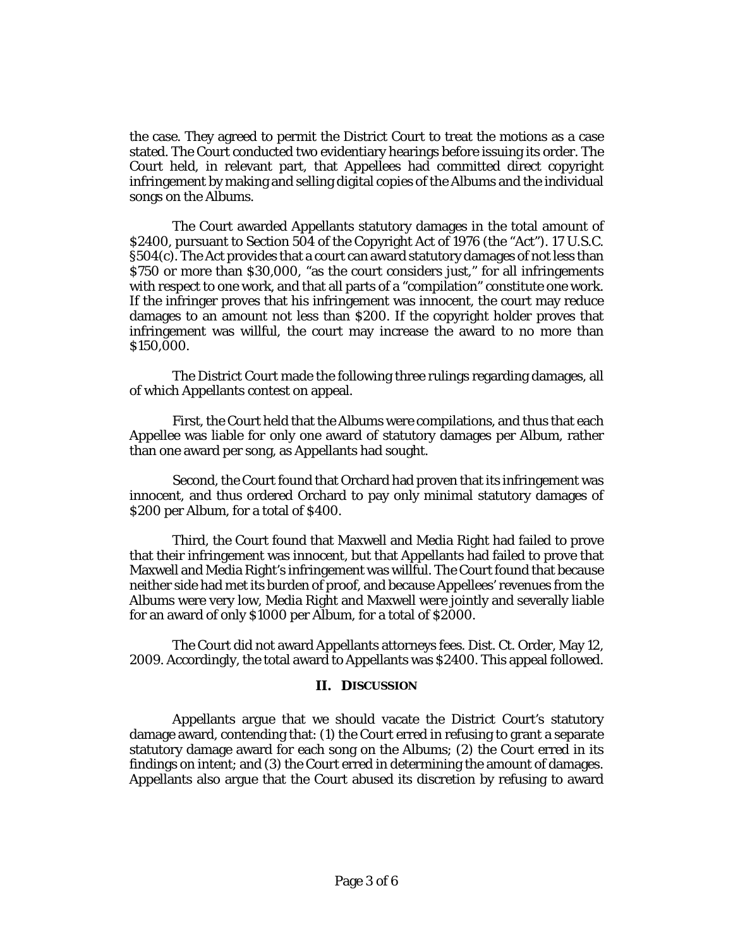the case. They agreed to permit the District Court to treat the motions as a case stated. The Court conducted two evidentiary hearings before issuing its order. The Court held, in relevant part, that Appellees had committed direct copyright infringement by making and selling digital copies of the Albums and the individual songs on the Albums.

The Court awarded Appellants statutory damages in the total amount of \$2400, pursuant to Section 504 of the Copyright Act of 1976 (the "Act"). 17 U.S.C. §504(c). The Act provides that a court can award statutory damages of not less than \$750 or more than \$30,000, "as the court considers just," for all infringements with respect to one work, and that all parts of a "compilation" constitute one work. If the infringer proves that his infringement was innocent, the court may reduce damages to an amount not less than \$200. If the copyright holder proves that infringement was willful, the court may increase the award to no more than \$150,000.

The District Court made the following three rulings regarding damages, all of which Appellants contest on appeal.

First, the Court held that the Albums were compilations, and thus that each Appellee was liable for only one award of statutory damages per Album, rather than one award per song, as Appellants had sought.

Second, the Court found that Orchard had proven that its infringement was innocent, and thus ordered Orchard to pay only minimal statutory damages of \$200 per Album, for a total of \$400.

Third, the Court found that Maxwell and Media Right had failed to prove that their infringement was innocent, but that Appellants had failed to prove that Maxwell and Media Right's infringement was willful. The Court found that because neither side had met its burden of proof, and because Appellees' revenues from the Albums were very low, Media Right and Maxwell were jointly and severally liable for an award of only \$1000 per Album, for a total of \$2000.

The Court did not award Appellants attorneys fees. Dist. Ct. Order, May 12, 2009. Accordingly, the total award to Appellants was \$2400. This appeal followed.

#### **II. DISCUSSION**

Appellants argue that we should vacate the District Court's statutory damage award, contending that: (1) the Court erred in refusing to grant a separate statutory damage award for each song on the Albums; (2) the Court erred in its findings on intent; and (3) the Court erred in determining the amount of damages. Appellants also argue that the Court abused its discretion by refusing to award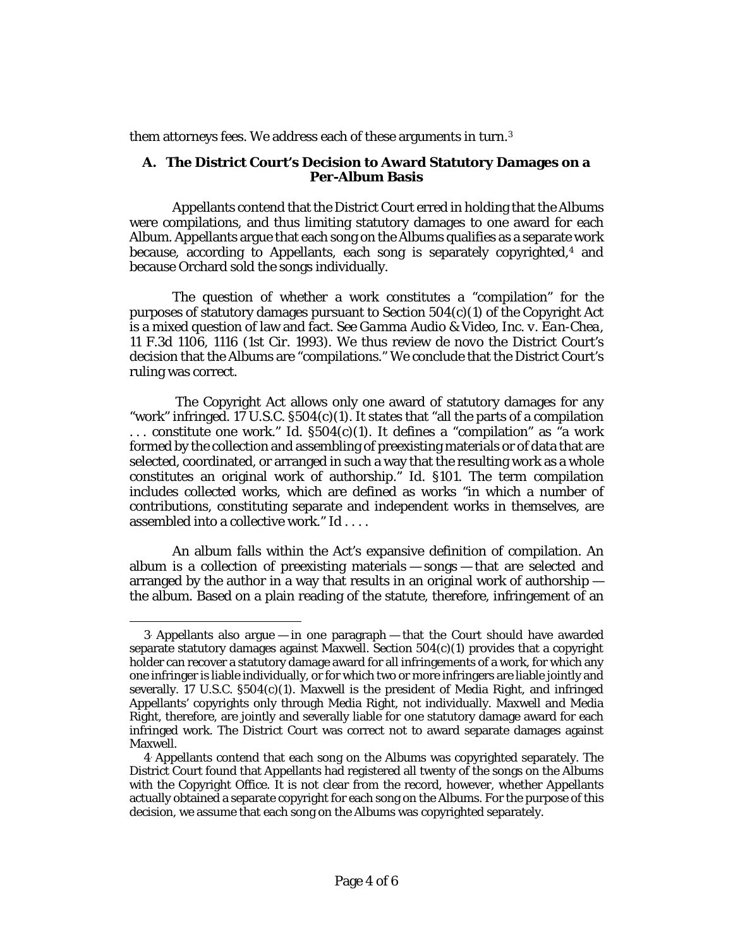them attorneys fees. We address each of these arguments in turn[.3](#page-3-0)

# **A. The District Court's Decision to Award Statutory Damages on a Per-Album Basis**

Appellants contend that the District Court erred in holding that the Albums were compilations, and thus limiting statutory damages to one award for each Album. Appellants argue that each song on the Albums qualifies as a separate work because, according to Appellants, each song is separately copyrighted[,4](#page-3-1) and because Orchard sold the songs individually.

The question of whether a work constitutes a "compilation" for the purposes of statutory damages pursuant to Section 504(c)(1) of the Copyright Act is a mixed question of law and fact. *See Gamma Audio & Video, Inc. v. Ean-Chea*, 11 F.3d 1106, 1116 (1st Cir. 1993). We thus review *de novo* the District Court's decision that the Albums are "compilations." We conclude that the District Court's ruling was correct.

The Copyright Act allows only one award of statutory damages for any "work" infringed. 17 U.S.C. §504(c)(1). It states that "all the parts of a compilation . . . constitute one work." *Id*. §504(c)(1). It defines a "compilation" as "a work formed by the collection and assembling of preexisting materials or of data that are selected, coordinated, or arranged in such a way that the resulting work as a whole constitutes an original work of authorship." *Id.* §101. The term compilation includes collected works, which are defined as works "in which a number of contributions, constituting separate and independent works in themselves, are assembled into a collective work." *Id . . . .* 

An album falls within the Act's expansive definition of compilation. An album is a collection of preexisting materials — songs — that are selected and arranged by the author in a way that results in an original work of authorship the album. Based on a plain reading of the statute, therefore, infringement of an

<span id="page-3-0"></span> $\ddot{\phantom{a}}$ 3. Appellants also argue — in one paragraph — that the Court should have awarded separate statutory damages against Maxwell. Section  $504(c)(1)$  provides that a copyright holder can recover a statutory damage award for all infringements of a work, for which any one infringer is liable individually, or for which two or more infringers are liable jointly and severally. 17 U.S.C. §504(c)(1). Maxwell is the president of Media Right, and infringed Appellants' copyrights only through Media Right, not individually. Maxwell and Media Right, therefore, are jointly and severally liable for one statutory damage award for each infringed work. The District Court was correct not to award separate damages against Maxwell.

<span id="page-3-1"></span><sup>4.</sup> Appellants contend that each song on the Albums was copyrighted separately. The District Court found that Appellants had registered all twenty of the songs on the Albums with the Copyright Office. It is not clear from the record, however, whether Appellants actually obtained a separate copyright for each song on the Albums. For the purpose of this decision, we assume that each song on the Albums was copyrighted separately.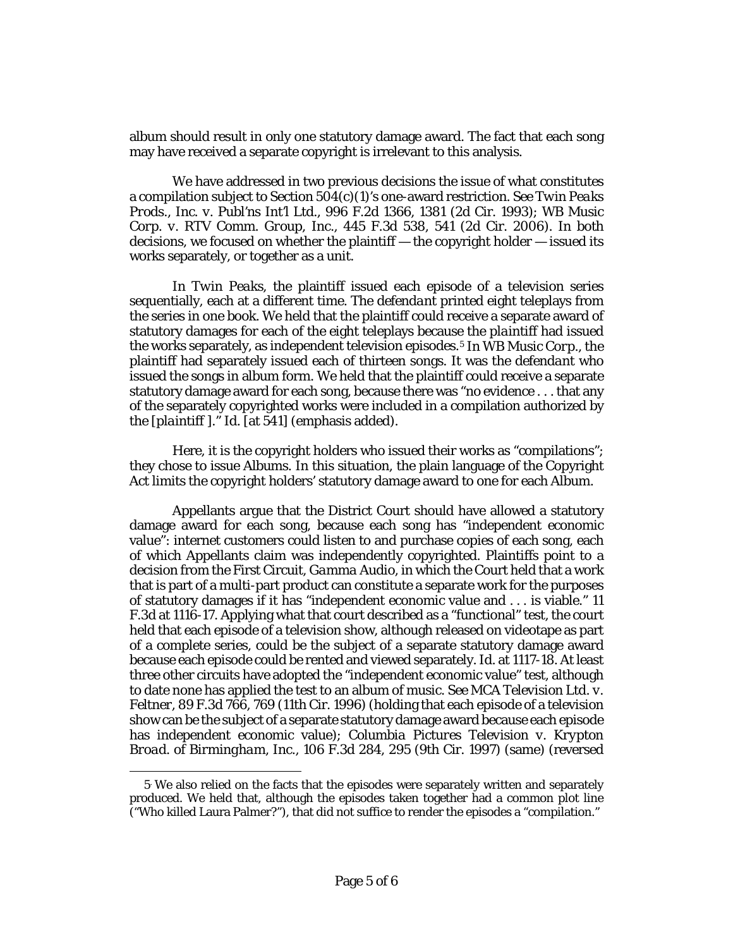album should result in only one statutory damage award. The fact that each song may have received a separate copyright is irrelevant to this analysis.

We have addressed in two previous decisions the issue of what constitutes a compilation subject to Section 504(c)(1)'s one-award restriction. *See Twin Peaks Prods., Inc. v. Publ'ns Int'l Ltd.*, 996 F.2d 1366, 1381 (2d Cir. 1993); *WB Music Corp. v. RTV Comm. Group, Inc.,* 445 F.3d 538, 541 (2d Cir. 2006). In both decisions, we focused on whether the plaintiff — the copyright holder — issued its works separately, or together as a unit.

In *Twin Peaks*, the plaintiff issued each episode of a television series sequentially, each at a different time. The *defendant* printed eight teleplays from the series in one book. We held that the plaintiff could receive a separate award of statutory damages for each of the eight teleplays because the *plaintiff* had issued the works separately, as independent television episodes.[5](#page-4-0) In *WB Music Corp.*, the plaintiff had separately issued each of thirteen songs. It was the *defendant* who issued the songs in album form. We held that the plaintiff could receive a separate statutory damage award for each song, because there was "no evidence . . . that any of the separately copyrighted works were included in a compilation authorized by the [*plaintiff* ]." *Id.* [at 541] (emphasis added).

Here, it is the copyright holders who issued their works as "compilations"; they chose to issue Albums. In this situation, the plain language of the Copyright Act limits the copyright holders' statutory damage award to one for each Album.

Appellants argue that the District Court should have allowed a statutory damage award for each song, because each song has "independent economic value": internet customers could listen to and purchase copies of each song, each of which Appellants claim was independently copyrighted. Plaintiffs point to a decision from the First Circuit, *Gamma Audio*, in which the Court held that a work that is part of a multi-part product can constitute a separate work for the purposes of statutory damages if it has "independent economic value and . . . is viable." 11 F.3d at 1116-17. Applying what that court described as a "functional" test, the court held that each episode of a television show, although released on videotape as part of a complete series, could be the subject of a separate statutory damage award because each episode *could* be rented and viewed separately. *Id.* at 1117-18. At least three other circuits have adopted the "independent economic value" test, although to date none has applied the test to an album of music. *See MCA Television Ltd. v. Feltner*, 89 F.3d 766, 769 (11th Cir. 1996) (holding that each episode of a television show can be the subject of a separate statutory damage award because each episode has independent economic value); *Columbia Pictures Television v. Krypton Broad. of Birmingham, Inc.*, 106 F.3d 284, 295 (9th Cir. 1997) (same) (reversed

<span id="page-4-0"></span> $\overline{a}$ 5. We also relied on the facts that the episodes were separately written and separately produced. We held that, although the episodes taken together had a common plot line ("Who killed Laura Palmer?"), that did not suffice to render the episodes a "compilation."